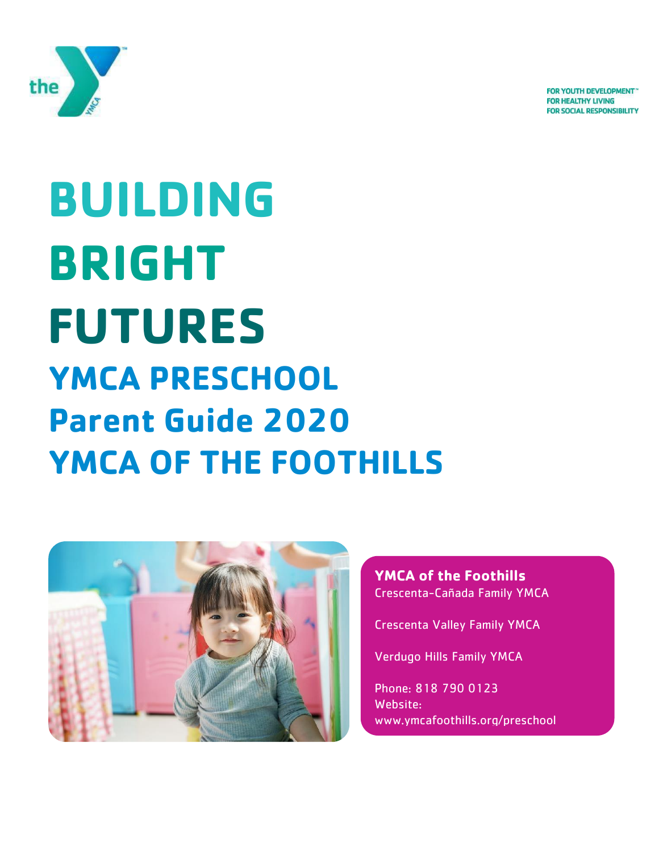

**FOR YOUTH DEVELOPMENT FOR HEALTHY LIVING FOR SOCIAL RESPONSIBILITY** 

# **BUILDING BRIGHT FUTURES YMCA PRESCHOOL Parent Guide 2020 YMCA OF THE FOOTHILLS**



**YMCA of the Foothills** Crescenta-Cañada Family YMCA

Crescenta Valley Family YMCA

Verdugo Hills Family YMCA

Phone: 818 790 0123 Website: www.ymcafoothills.org/preschool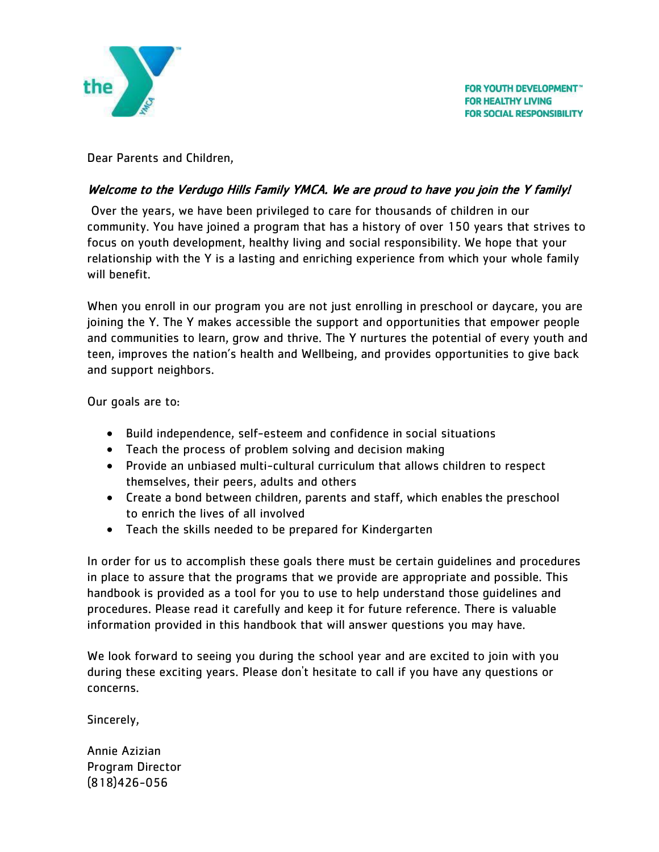

Dear Parents and Children,

#### Welcome to the Verdugo Hills Family YMCA. We are proud to have you join the Y family!

Over the years, we have been privileged to care for thousands of children in our community. You have joined a program that has a history of over 150 years that strives to focus on youth development, healthy living and social responsibility. We hope that your relationship with the Y is a lasting and enriching experience from which your whole family will benefit.

When you enroll in our program you are not just enrolling in preschool or daycare, you are joining the Y. The Y makes accessible the support and opportunities that empower people and communities to learn, grow and thrive. The Y nurtures the potential of every youth and teen, improves the nation's health and Wellbeing, and provides opportunities to give back and support neighbors.

Our goals are to:

- Build independence, self-esteem and confidence in social situations
- Teach the process of problem solving and decision making
- Provide an unbiased multi-cultural curriculum that allows children to respect themselves, their peers, adults and others
- Create a bond between children, parents and staff, which enables the preschool to enrich the lives of all involved
- Teach the skills needed to be prepared for Kindergarten

In order for us to accomplish these goals there must be certain guidelines and procedures in place to assure that the programs that we provide are appropriate and possible. This handbook is provided as a tool for you to use to help understand those guidelines and procedures. Please read it carefully and keep it for future reference. There is valuable information provided in this handbook that will answer questions you may have.

We look forward to seeing you during the school year and are excited to join with you during these exciting years. Please don't hesitate to call if you have any questions or concerns.

Sincerely,

Annie Azizian Program Director (818)426-056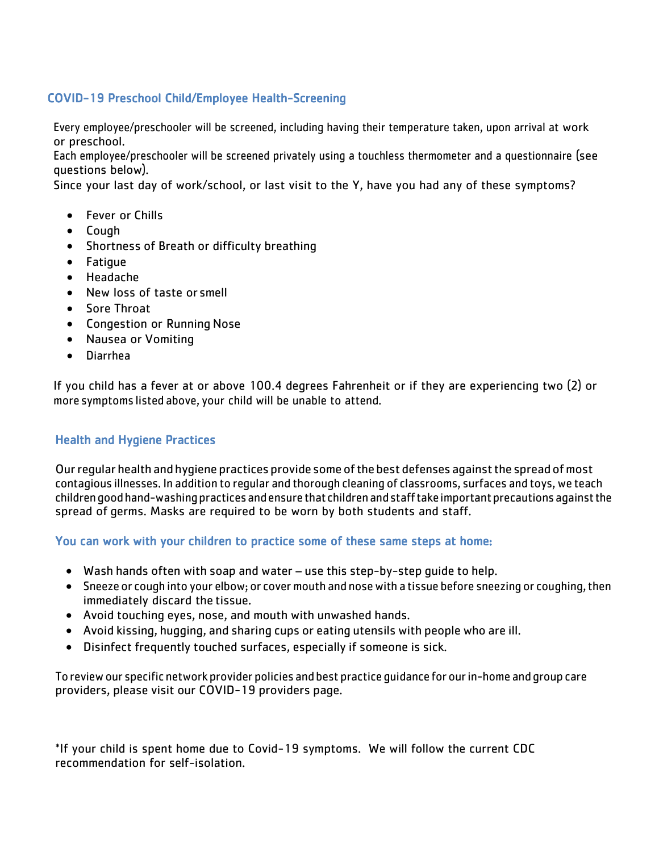#### COVID-19 Preschool Child/Employee Health-Screening

Every employee/preschooler will be screened, including having their temperature taken, upon arrival at work or preschool.

Each employee/preschooler will be screened privately using a touchless thermometer and a questionnaire (see questions below).

Since your last day of work/school, or last visit to the Y, have you had any of these symptoms?

- Fever or Chills
- Cough
- Shortness of Breath or difficulty breathing
- Fatigue
- Headache
- New loss of taste or smell
- Sore Throat
- Congestion or Running Nose
- Nausea or Vomiting
- Diarrhea

If you child has a fever at or above 100.4 degrees Fahrenheit or if they are experiencing two (2) or more symptoms listed above, your child will be unable to attend.

#### Health and Hygiene Practices

Ourregular health and hygiene practices provide some ofthe best defenses againstthe spread ofmost contagious illnesses. In addition to regular and thorough cleaning of classrooms, surfaces and toys, we teach children good hand-washing practices and ensure that children and staff take important precautions against the spread of germs. Masks are required to be worn by both students and staff.

You can work with your children to practice some of these same steps at home:

- Wash hands often with soap and water use this step-by-step guide to help.
- Sneeze or cough into your elbow; or cover mouth and nose with a tissue before sneezing or coughing, then immediately discard the tissue.
- Avoid touching eyes, nose, and mouth with unwashed hands.
- Avoid kissing, hugging, and sharing cups or eating utensils with people who are ill.
- Disinfect frequently touched surfaces, especially if someone is sick.

To reviewour specific network provider policies and best practice guidance for ourin-home and group care providers, please visit our COVID-19 providers page.

\*If your child is spent home due to Covid-19 symptoms. We will follow the current CDC recommendation for self-isolation.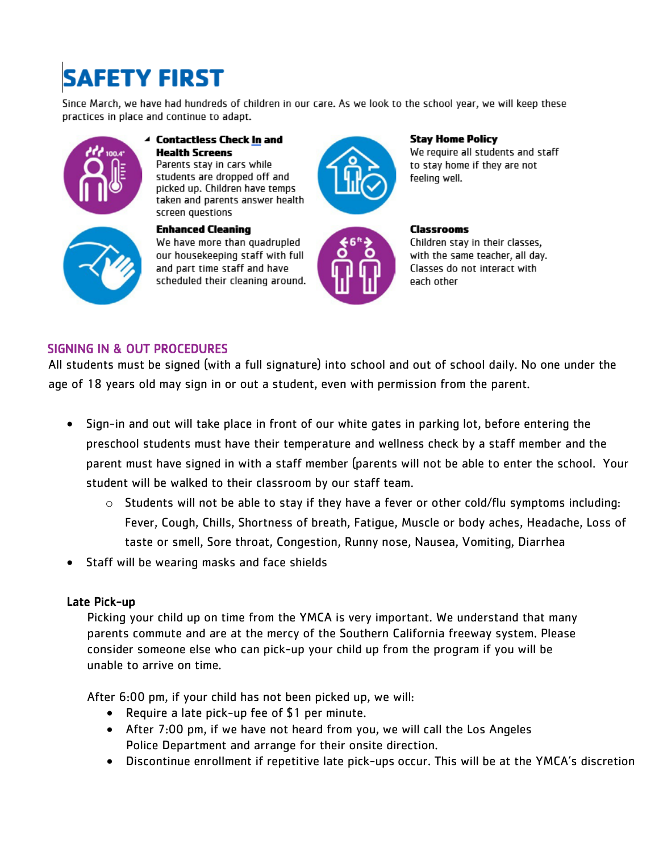# **SAFETY FIRST**

Since March, we have had hundreds of children in our care. As we look to the school year, we will keep these practices in place and continue to adapt.





taken and parents answer health screen questions **Enhanced Cleaning** We have more than quadrupled our housekeeping staff with full and part time staff and have

scheduled their cleaning around.

**Health Screens** 

Parents stay in cars while

students are dropped off and

picked up. Children have temps



**Stay Home Policy** We require all students and staff to stay home if they are not feeling well.



**Classrooms** Children stay in their classes, with the same teacher, all day. Classes do not interact with each other

#### SIGNING IN & OUT PROCEDURES

All students must be signed (with a full signature) into school and out of school daily. No one under the age of 18 years old may sign in or out a student, even with permission from the parent.

- Sign-in and out will take place in front of our white gates in parking lot, before entering the preschool students must have their temperature and wellness check by a staff member and the parent must have signed in with a staff member (parents will not be able to enter the school. Your student will be walked to their classroom by our staff team.
	- o Students will not be able to stay if they have a fever or other cold/flu symptoms including: Fever, Cough, Chills, Shortness of breath, Fatigue, Muscle or body aches, Headache, Loss of taste or smell, Sore throat, Congestion, Runny nose, Nausea, Vomiting, Diarrhea
- Staff will be wearing masks and face shields

#### Late Pick-up

Picking your child up on time from the YMCA is very important. We understand that many parents commute and are at the mercy of the Southern California freeway system. Please consider someone else who can pick-up your child up from the program if you will be unable to arrive on time.

After 6:00 pm, if your child has not been picked up, we will:

- Require a late pick-up fee of \$1 per minute.
- After 7:00 pm, if we have not heard from you, we will call the Los Angeles Police Department and arrange for their onsite direction.
- Discontinue enrollment if repetitive late pick-ups occur. This will be at the YMCA's discretion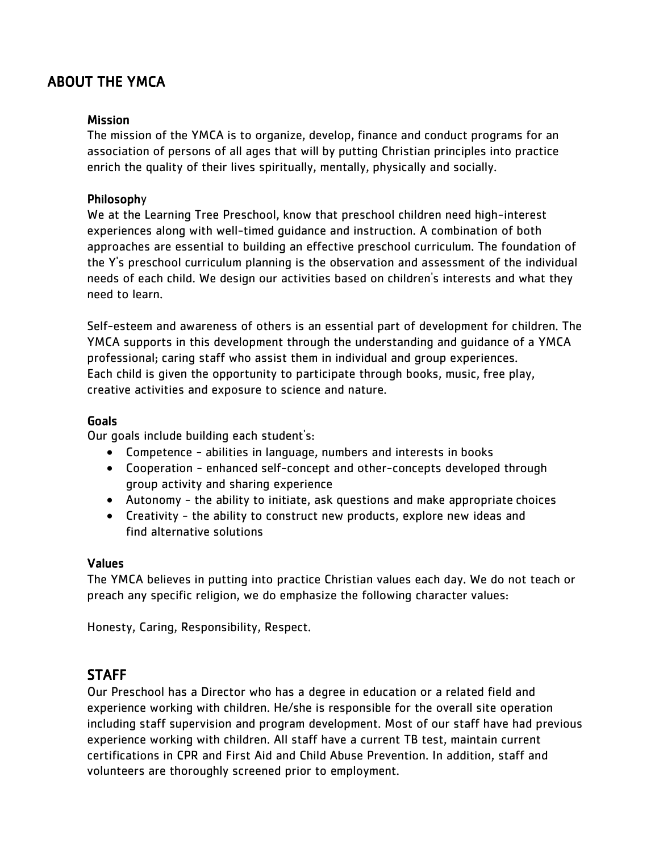# ABOUT THE YMCA

#### **Mission**

The mission of the YMCA is to organize, develop, finance and conduct programs for an association of persons of all ages that will by putting Christian principles into practice enrich the quality of their lives spiritually, mentally, physically and socially.

#### Philosophy

We at the Learning Tree Preschool, know that preschool children need high-interest experiences along with well-timed guidance and instruction. A combination of both approaches are essential to building an effective preschool curriculum. The foundation of the Y's preschool curriculum planning is the observation and assessment of the individual needs of each child. We design our activities based on children's interests and what they need to learn.

Self-esteem and awareness of others is an essential part of development for children. The YMCA supports in this development through the understanding and guidance of a YMCA professional; caring staff who assist them in individual and group experiences. Each child is given the opportunity to participate through books, music, free play, creative activities and exposure to science and nature.

#### Goals

Our goals include building each student's:

- Competence abilities in language, numbers and interests in books
- Cooperation enhanced self-concept and other-concepts developed through group activity and sharing experience
- Autonomy the ability to initiate, ask questions and make appropriate choices
- Creativity the ability to construct new products, explore new ideas and find alternative solutions

#### Values

The YMCA believes in putting into practice Christian values each day. We do not teach or preach any specific religion, we do emphasize the following character values:

Honesty, Caring, Responsibility, Respect.

#### **STAFF**

Our Preschool has a Director who has a degree in education or a related field and experience working with children. He/she is responsible for the overall site operation including staff supervision and program development. Most of our staff have had previous experience working with children. All staff have a current TB test, maintain current certifications in CPR and First Aid and Child Abuse Prevention. In addition, staff and volunteers are thoroughly screened prior to employment.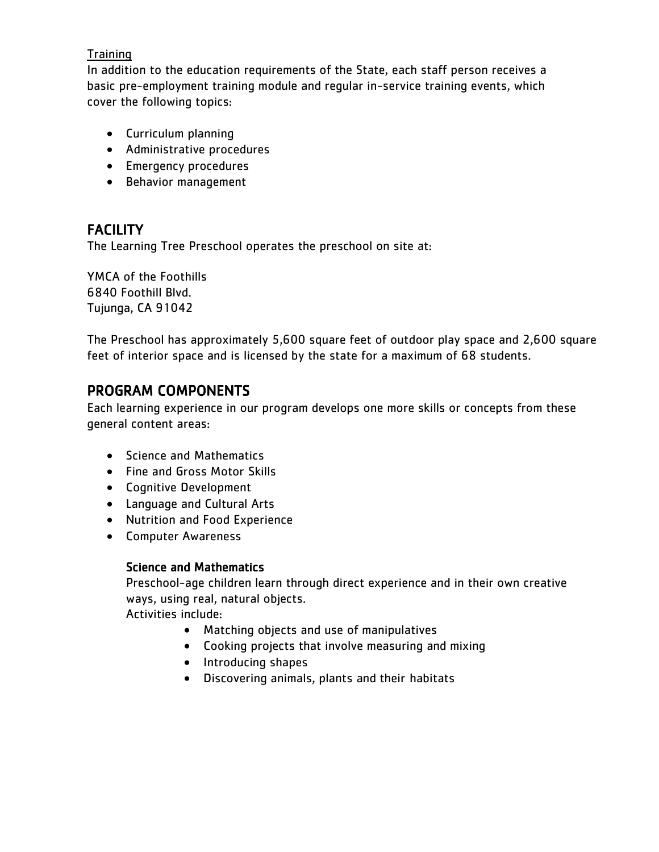#### **Training**

In addition to the education requirements of the State, each staff person receives a basic pre-employment training module and regular in-service training events, which cover the following topics:

- Curriculum planning
- Administrative procedures
- Emergency procedures
- Behavior management

# FACILITY

The Learning Tree Preschool operates the preschool on site at:

YMCA of the Foothills 6840 Foothill Blvd. Tujunga, CA 91042

The Preschool has approximately 5,600 square feet of outdoor play space and 2,600 square feet of interior space and is licensed by the state for a maximum of 68 students.

# PROGRAM COMPONENTS

Each learning experience in our program develops one more skills or concepts from these general content areas:

- Science and Mathematics
- Fine and Gross Motor Skills
- Cognitive Development
- Language and Cultural Arts
- Nutrition and Food Experience
- Computer Awareness

#### Science and Mathematics

Preschool-age children learn through direct experience and in their own creative ways, using real, natural objects.

Activities include:

- Matching objects and use of manipulatives
- Cooking projects that involve measuring and mixing
- Introducing shapes
- Discovering animals, plants and their habitats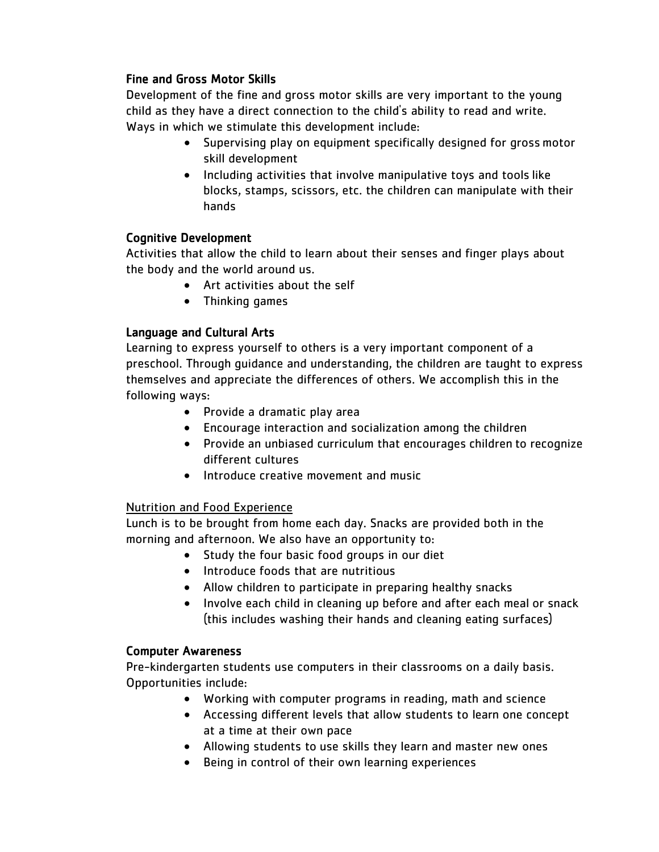#### Fine and Gross Motor Skills

Development of the fine and gross motor skills are very important to the young child as they have a direct connection to the child's ability to read and write. Ways in which we stimulate this development include:

- Supervising play on equipment specifically designed for gross motor skill development
- Including activities that involve manipulative toys and tools like blocks, stamps, scissors, etc. the children can manipulate with their hands

#### Cognitive Development

Activities that allow the child to learn about their senses and finger plays about the body and the world around us.

- Art activities about the self
- Thinking games

#### Language and Cultural Arts

Learning to express yourself to others is a very important component of a preschool. Through guidance and understanding, the children are taught to express themselves and appreciate the differences of others. We accomplish this in the following ways:

- Provide a dramatic play area
- Encourage interaction and socialization among the children
- Provide an unbiased curriculum that encourages children to recognize different cultures
- Introduce creative movement and music

#### Nutrition and Food Experience

Lunch is to be brought from home each day. Snacks are provided both in the morning and afternoon. We also have an opportunity to:

- Study the four basic food groups in our diet
- Introduce foods that are nutritious
- Allow children to participate in preparing healthy snacks
- Involve each child in cleaning up before and after each meal or snack (this includes washing their hands and cleaning eating surfaces)

#### Computer Awareness

Pre-kindergarten students use computers in their classrooms on a daily basis. Opportunities include:

- Working with computer programs in reading, math and science
- Accessing different levels that allow students to learn one concept at a time at their own pace
- Allowing students to use skills they learn and master new ones
- Being in control of their own learning experiences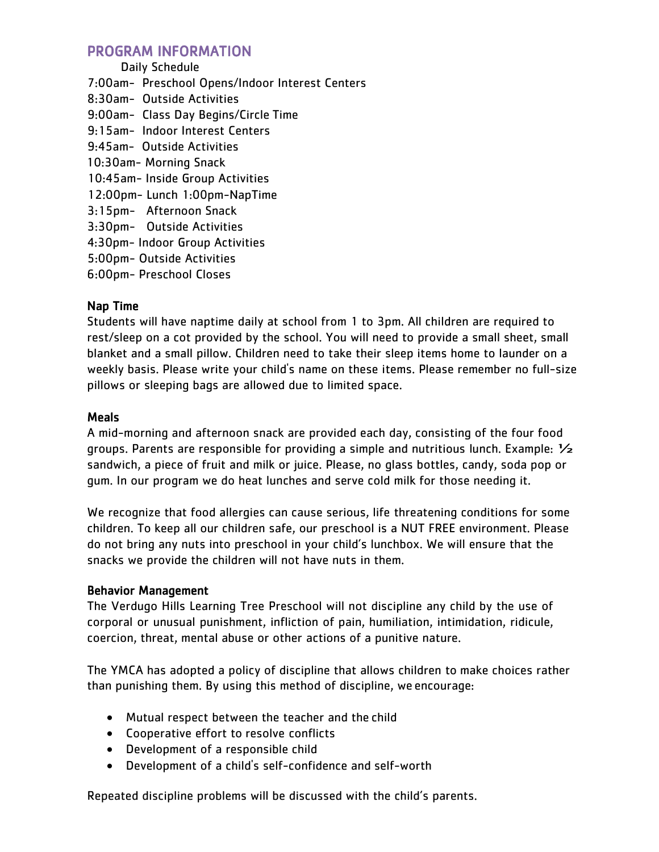#### PROGRAM INFORMATION

- Daily Schedule 7:00am- Preschool Opens/Indoor Interest Centers 8:30am- Outside Activities 9:00am- Class Day Begins/Circle Time 9:15am- Indoor Interest Centers 9:45am- Outside Activities 10:30am- Morning Snack 10:45am- Inside Group Activities 12:00pm- Lunch 1:00pm-NapTime 3:15pm- Afternoon Snack 3:30pm- Outside Activities 4:30pm- Indoor Group Activities 5:00pm- Outside Activities
- 6:00pm- Preschool Closes

#### Nap Time

Students will have naptime daily at school from 1 to 3pm. All children are required to rest/sleep on a cot provided by the school. You will need to provide a small sheet, small blanket and a small pillow. Children need to take their sleep items home to launder on a weekly basis. Please write your child's name on these items. Please remember no full-size pillows or sleeping bags are allowed due to limited space.

#### Meals

A mid-morning and afternoon snack are provided each day, consisting of the four food groups. Parents are responsible for providing a simple and nutritious lunch. Example:  $\frac{1}{2}$ sandwich, a piece of fruit and milk or juice. Please, no glass bottles, candy, soda pop or gum. In our program we do heat lunches and serve cold milk for those needing it.

We recognize that food allergies can cause serious, life threatening conditions for some children. To keep all our children safe, our preschool is a NUT FREE environment. Please do not bring any nuts into preschool in your child's lunchbox. We will ensure that the snacks we provide the children will not have nuts in them.

#### Behavior Management

The Verdugo Hills Learning Tree Preschool will not discipline any child by the use of corporal or unusual punishment, infliction of pain, humiliation, intimidation, ridicule, coercion, threat, mental abuse or other actions of a punitive nature.

The YMCA has adopted a policy of discipline that allows children to make choices rather than punishing them. By using this method of discipline, we encourage:

- Mutual respect between the teacher and the child
- Cooperative effort to resolve conflicts
- Development of a responsible child
- Development of a child's self-confidence and self-worth

Repeated discipline problems will be discussed with the child's parents.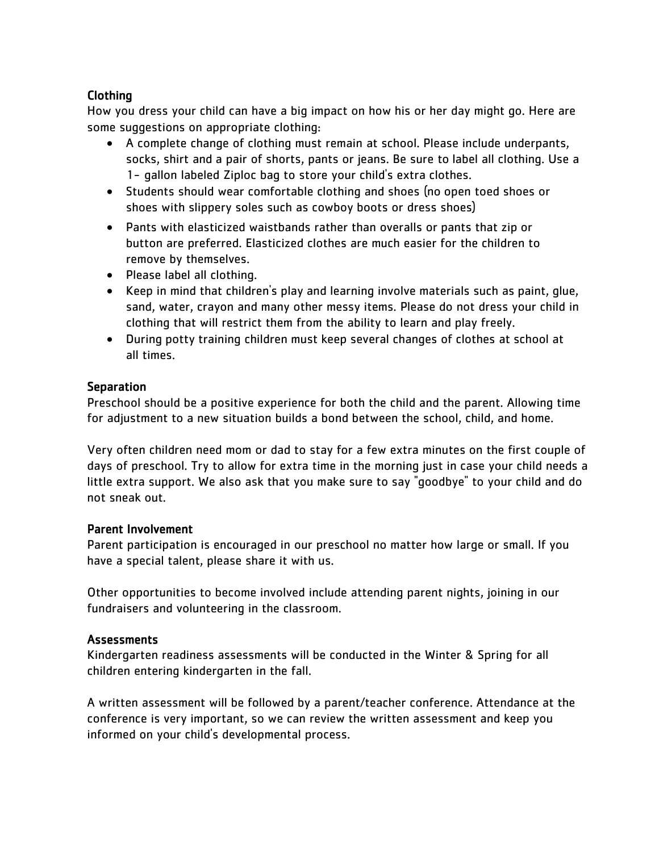#### Clothing

How you dress your child can have a big impact on how his or her day might go. Here are some suggestions on appropriate clothing:

- A complete change of clothing must remain at school. Please include underpants, socks, shirt and a pair of shorts, pants or jeans. Be sure to label all clothing. Use a 1- gallon labeled Ziploc bag to store your child's extra clothes.
- Students should wear comfortable clothing and shoes (no open toed shoes or shoes with slippery soles such as cowboy boots or dress shoes)
- Pants with elasticized waistbands rather than overalls or pants that zip or button are preferred. Elasticized clothes are much easier for the children to remove by themselves.
- Please label all clothing.
- Keep in mind that children's play and learning involve materials such as paint, glue, sand, water, crayon and many other messy items. Please do not dress your child in clothing that will restrict them from the ability to learn and play freely.
- During potty training children must keep several changes of clothes at school at all times.

#### **Separation**

Preschool should be a positive experience for both the child and the parent. Allowing time for adjustment to a new situation builds a bond between the school, child, and home.

Very often children need mom or dad to stay for a few extra minutes on the first couple of days of preschool. Try to allow for extra time in the morning just in case your child needs a little extra support. We also ask that you make sure to say "goodbye" to your child and do not sneak out.

#### Parent Involvement

Parent participation is encouraged in our preschool no matter how large or small. If you have a special talent, please share it with us.

Other opportunities to become involved include attending parent nights, joining in our fundraisers and volunteering in the classroom.

#### **Assessments**

Kindergarten readiness assessments will be conducted in the Winter & Spring for all children entering kindergarten in the fall.

A written assessment will be followed by a parent/teacher conference. Attendance at the conference is very important, so we can review the written assessment and keep you informed on your child's developmental process.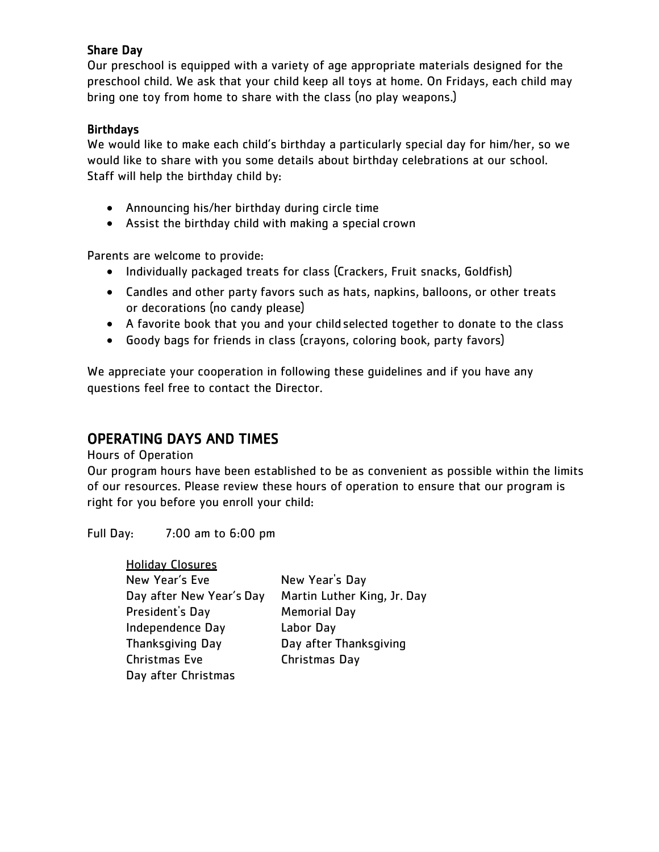#### Share Day

Our preschool is equipped with a variety of age appropriate materials designed for the preschool child. We ask that your child keep all toys at home. On Fridays, each child may bring one toy from home to share with the class (no play weapons.)

#### **Birthdays**

We would like to make each child's birthday a particularly special day for him/her, so we would like to share with you some details about birthday celebrations at our school. Staff will help the birthday child by:

- Announcing his/her birthday during circle time
- Assist the birthday child with making a special crown

Parents are welcome to provide:

- Individually packaged treats for class (Crackers, Fruit snacks, Goldfish)
- Candles and other party favors such as hats, napkins, balloons, or other treats or decorations (no candy please)
- A favorite book that you and your child selected together to donate to the class
- Goody bags for friends in class (crayons, coloring book, party favors)

We appreciate your cooperation in following these guidelines and if you have any questions feel free to contact the Director.

### OPERATING DAYS AND TIMES

Hours of Operation

Our program hours have been established to be as convenient as possible within the limits of our resources. Please review these hours of operation to ensure that our program is right for you before you enroll your child:

Full Day: 7:00 am to 6:00 pm

| <b>Holiday Closures</b>  |                             |
|--------------------------|-----------------------------|
| New Year's Eve           | New Year's Day              |
| Day after New Year's Day | Martin Luther King, Jr. Day |
| President's Day          | <b>Memorial Day</b>         |
| Independence Day         | Labor Day                   |
| <b>Thanksgiving Day</b>  | Day after Thanksgiving      |
| Christmas Eve            | Christmas Day               |
| Day after Christmas      |                             |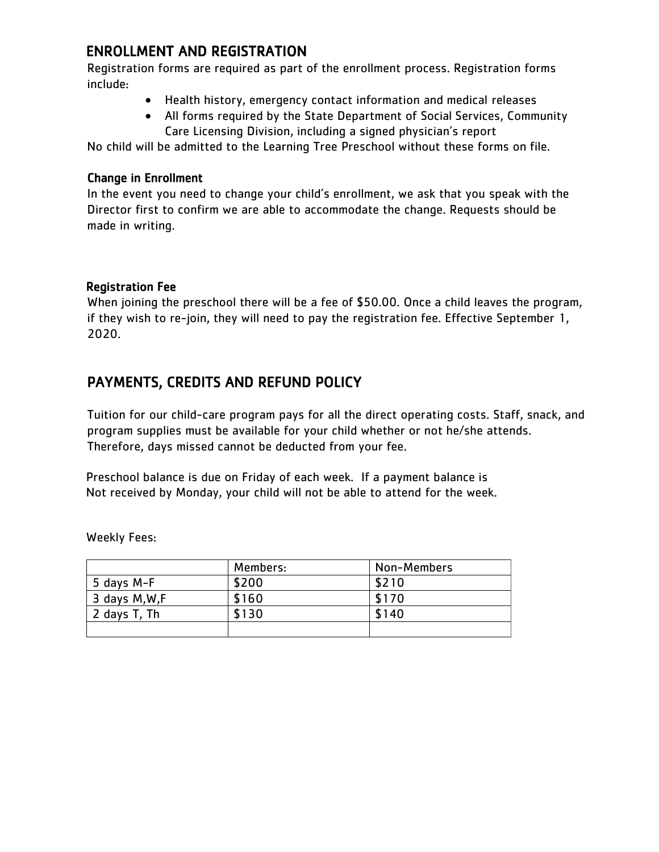# ENROLLMENT AND REGISTRATION

Registration forms are required as part of the enrollment process. Registration forms include:

- Health history, emergency contact information and medical releases
- All forms required by the State Department of Social Services, Community Care Licensing Division, including a signed physician's report

No child will be admitted to the Learning Tree Preschool without these forms on file.

#### Change in Enrollment

In the event you need to change your child's enrollment, we ask that you speak with the Director first to confirm we are able to accommodate the change. Requests should be made in writing.

#### Registration Fee

When joining the preschool there will be a fee of \$50.00. Once a child leaves the program, if they wish to re-join, they will need to pay the registration fee. Effective September 1, 2020.

# PAYMENTS, CREDITS AND REFUND POLICY

Tuition for our child-care program pays for all the direct operating costs. Staff, snack, and program supplies must be available for your child whether or not he/she attends. Therefore, days missed cannot be deducted from your fee.

Preschool balance is due on Friday of each week. If a payment balance is Not received by Monday, your child will not be able to attend for the week.

|                | Members: | Non-Members |
|----------------|----------|-------------|
| 5 days M-F     | \$200    | \$210       |
| 3 days M, W, F | \$160    | \$170       |
| 2 days T, Th   | \$130    | \$140       |
|                |          |             |

Weekly Fees: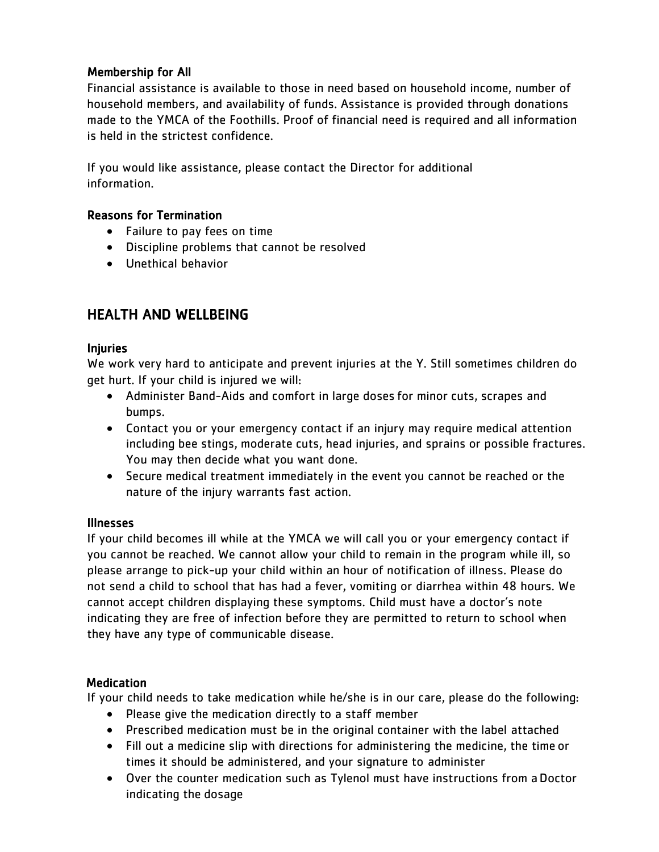#### Membership for All

Financial assistance is available to those in need based on household income, number of household members, and availability of funds. Assistance is provided through donations made to the YMCA of the Foothills. Proof of financial need is required and all information is held in the strictest confidence.

If you would like assistance, please contact the Director for additional information.

#### Reasons for Termination

- Failure to pay fees on time
- Discipline problems that cannot be resolved
- Unethical behavior

# HEALTH AND WELLBEING

#### Injuries

We work very hard to anticipate and prevent injuries at the Y. Still sometimes children do get hurt. If your child is injured we will:

- Administer Band-Aids and comfort in large doses for minor cuts, scrapes and bumps.
- Contact you or your emergency contact if an injury may require medical attention including bee stings, moderate cuts, head injuries, and sprains or possible fractures. You may then decide what you want done.
- Secure medical treatment immediately in the event you cannot be reached or the nature of the injury warrants fast action.

#### Illnesses

If your child becomes ill while at the YMCA we will call you or your emergency contact if you cannot be reached. We cannot allow your child to remain in the program while ill, so please arrange to pick-up your child within an hour of notification of illness. Please do not send a child to school that has had a fever, vomiting or diarrhea within 48 hours. We cannot accept children displaying these symptoms. Child must have a doctor's note indicating they are free of infection before they are permitted to return to school when they have any type of communicable disease.

#### Medication

If your child needs to take medication while he/she is in our care, please do the following:

- Please give the medication directly to a staff member
- Prescribed medication must be in the original container with the label attached
- Fill out a medicine slip with directions for administering the medicine, the time or times it should be administered, and your signature to administer
- Over the counter medication such as Tylenol must have instructions from aDoctor indicating the dosage